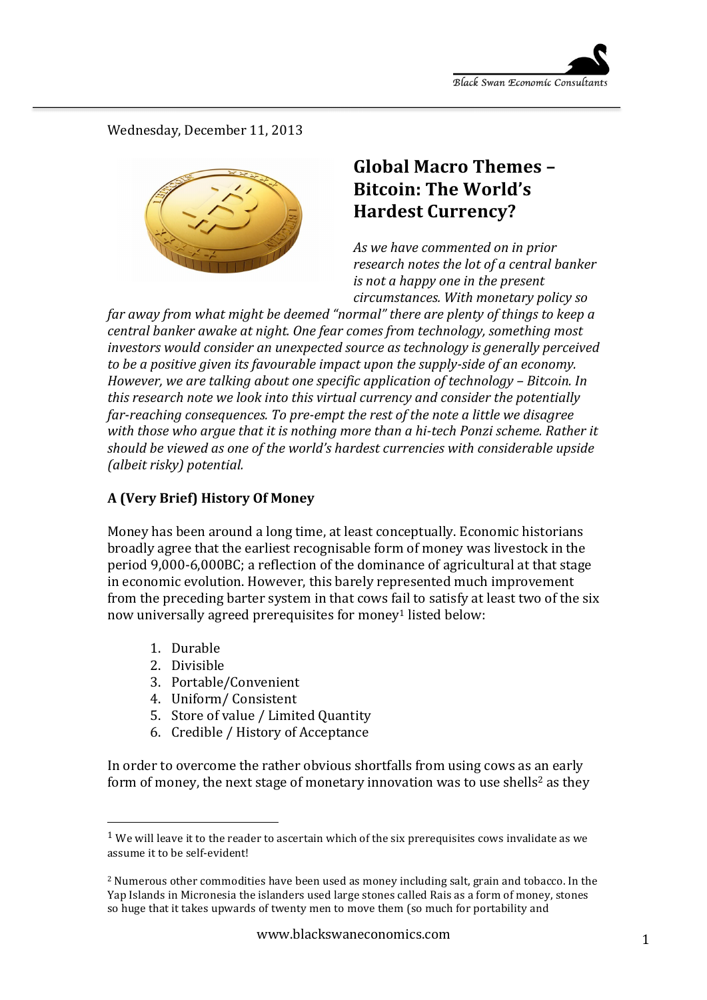Wednesday, December 11, 2013



# Global Macro Themes -**Bitcoin: The World's Hardest Currency?**

As we have commented on in prior research notes the lot of a central banker *is* not a happy one in the present *circumstances. With monetary policy so* 

*far away from what might be deemed "normal" there are plenty of things to keep a central banker awake at night. One fear comes from technology, something most investors* would consider an unexpected source as technology is generally perceived *to be a positive given its favourable impact upon the supply-side of an economy. However, we are talking about one specific application of technology – Bitcoin. In this research note we look into this virtual currency and consider the potentially far-reaching consequences.* To pre-empt the rest of the note a little we disagree with those who argue that it is nothing more than a hi-tech Ponzi scheme. Rather it should be viewed as one of the world's hardest currencies with considerable upside *(albeit risky)* potential.

## **A (Very Brief) History Of Money**

Money has been around a long time, at least conceptually. Economic historians broadly agree that the earliest recognisable form of money was livestock in the period 9,000-6,000BC; a reflection of the dominance of agricultural at that stage in economic evolution. However, this barely represented much improvement from the preceding barter system in that cows fail to satisfy at least two of the six now universally agreed prerequisites for money<sup>1</sup> listed below:

- 1. Durable
- 2. Divisible

 

- 3. Portable/Convenient
- 4. Uniform/Consistent
- 5. Store of value / Limited Ouantity
- 6. Credible / History of Acceptance

In order to overcome the rather obvious shortfalls from using cows as an early form of money, the next stage of monetary innovation was to use shells<sup>2</sup> as they

 $<sup>1</sup>$  We will leave it to the reader to ascertain which of the six prerequisites cows invalidate as we</sup> assume it to be self-evident!

<sup>&</sup>lt;sup>2</sup> Numerous other commodities have been used as money including salt, grain and tobacco. In the Yap Islands in Micronesia the islanders used large stones called Rais as a form of money, stones so huge that it takes upwards of twenty men to move them (so much for portability and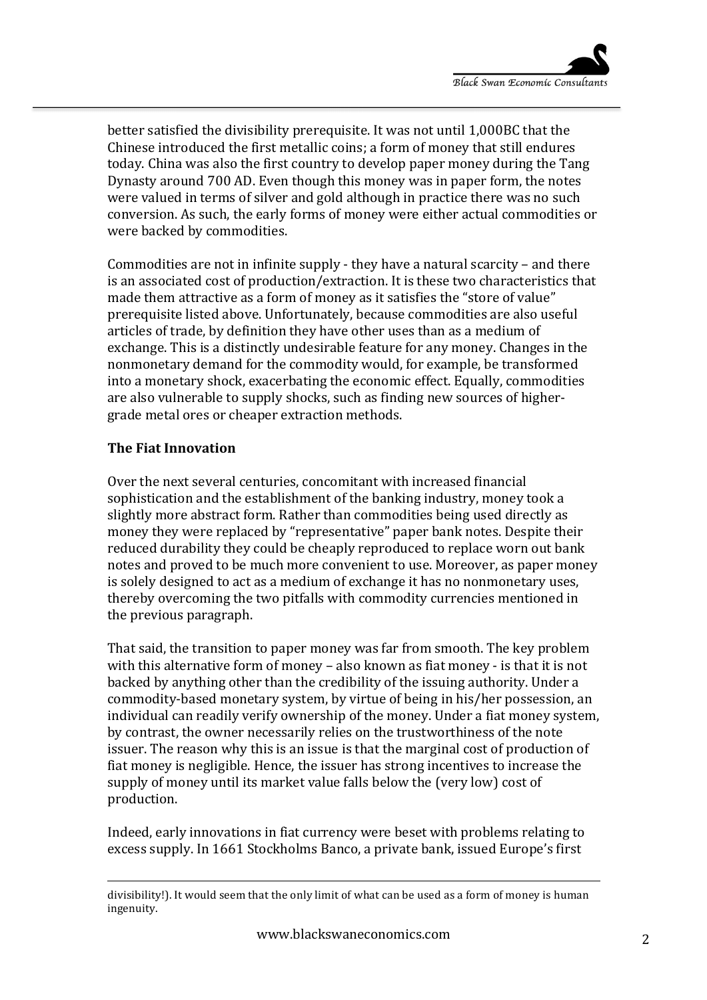better satisfied the divisibility prerequisite. It was not until 1,000BC that the Chinese introduced the first metallic coins; a form of money that still endures today. China was also the first country to develop paper money during the Tang Dynasty around 700 AD. Even though this money was in paper form, the notes were valued in terms of silver and gold although in practice there was no such conversion. As such, the early forms of money were either actual commodities or were backed by commodities.

Commodities are not in infinite supply - they have a natural scarcity  $-$  and there is an associated cost of production/extraction. It is these two characteristics that made them attractive as a form of money as it satisfies the "store of value" prerequisite listed above. Unfortunately, because commodities are also useful articles of trade, by definition they have other uses than as a medium of exchange. This is a distinctly undesirable feature for any money. Changes in the nonmonetary demand for the commodity would, for example, be transformed into a monetary shock, exacerbating the economic effect. Equally, commodities are also vulnerable to supply shocks, such as finding new sources of highergrade metal ores or cheaper extraction methods.

#### **The Fiat Innovation**

Over the next several centuries, concomitant with increased financial sophistication and the establishment of the banking industry, money took a slightly more abstract form. Rather than commodities being used directly as money they were replaced by "representative" paper bank notes. Despite their reduced durability they could be cheaply reproduced to replace worn out bank notes and proved to be much more convenient to use. Moreover, as paper money is solely designed to act as a medium of exchange it has no nonmonetary uses, thereby overcoming the two pitfalls with commodity currencies mentioned in the previous paragraph.

That said, the transition to paper money was far from smooth. The key problem with this alternative form of money – also known as fiat money - is that it is not backed by anything other than the credibility of the issuing authority. Under a commodity-based monetary system, by virtue of being in his/her possession, an individual can readily verify ownership of the money. Under a fiat money system, by contrast, the owner necessarily relies on the trustworthiness of the note issuer. The reason why this is an issue is that the marginal cost of production of fiat money is negligible. Hence, the issuer has strong incentives to increase the supply of money until its market value falls below the (very low) cost of production. 

Indeed, early innovations in fiat currency were beset with problems relating to excess supply. In 1661 Stockholms Banco, a private bank, issued Europe's first

<sup>&</sup>lt;u> 1989 - Johann Stein, fransk politik (d. 1989)</u> divisibility!). It would seem that the only limit of what can be used as a form of money is human ingenuity.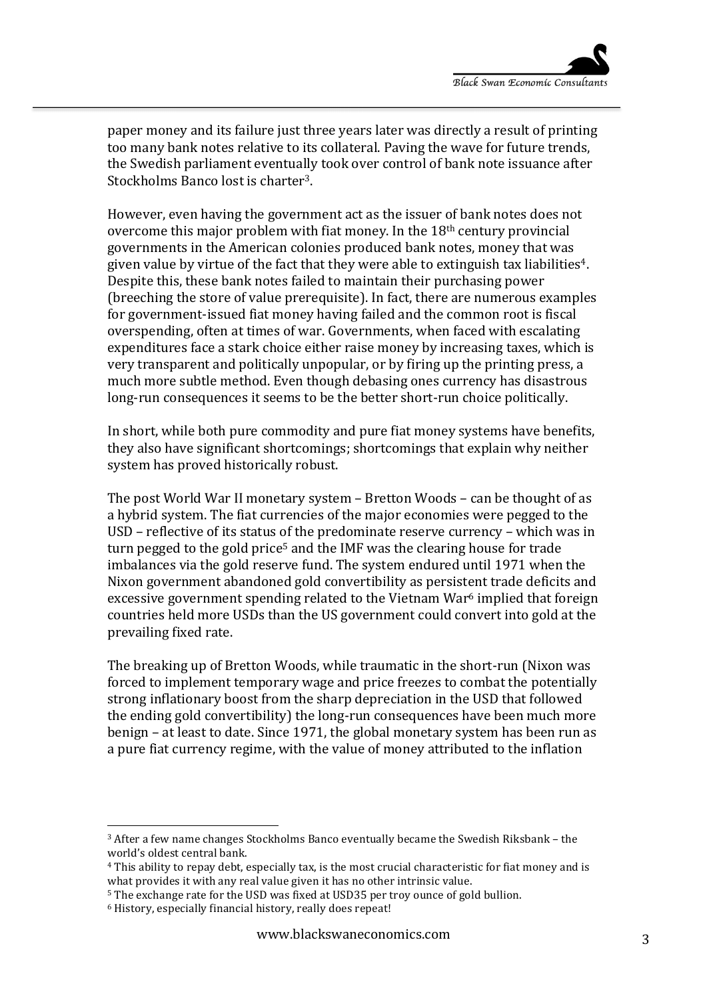paper money and its failure just three years later was directly a result of printing too many bank notes relative to its collateral. Paving the wave for future trends, the Swedish parliament eventually took over control of bank note issuance after Stockholms Banco lost is charter<sup>3</sup>.

However, even having the government act as the issuer of bank notes does not overcome this major problem with fiat money. In the  $18<sup>th</sup>$  century provincial governments in the American colonies produced bank notes, money that was given value by virtue of the fact that they were able to extinguish tax liabilities<sup>4</sup>. Despite this, these bank notes failed to maintain their purchasing power (breeching the store of value prerequisite). In fact, there are numerous examples for government-issued fiat money having failed and the common root is fiscal overspending, often at times of war. Governments, when faced with escalating expenditures face a stark choice either raise money by increasing taxes, which is very transparent and politically unpopular, or by firing up the printing press, a much more subtle method. Even though debasing ones currency has disastrous long-run consequences it seems to be the better short-run choice politically.

In short, while both pure commodity and pure fiat money systems have benefits, they also have significant shortcomings; shortcomings that explain why neither system has proved historically robust.

The post World War II monetary system – Bretton Woods – can be thought of as a hybrid system. The fiat currencies of the major economies were pegged to the USD – reflective of its status of the predominate reserve currency – which was in turn pegged to the gold price<sup>5</sup> and the IMF was the clearing house for trade imbalances via the gold reserve fund. The system endured until 1971 when the Nixon government abandoned gold convertibility as persistent trade deficits and excessive government spending related to the Vietnam War $6$  implied that foreign countries held more USDs than the US government could convert into gold at the prevailing fixed rate.

The breaking up of Bretton Woods, while traumatic in the short-run (Nixon was forced to implement temporary wage and price freezes to combat the potentially strong inflationary boost from the sharp depreciation in the USD that followed the ending gold convertibility) the long-run consequences have been much more benign – at least to date. Since 1971, the global monetary system has been run as a pure fiat currency regime, with the value of money attributed to the inflation

 

 $3$  After a few name changes Stockholms Banco eventually became the Swedish Riksbank – the world's oldest central bank.

<sup>&</sup>lt;sup>4</sup> This ability to repay debt, especially tax, is the most crucial characteristic for fiat money and is what provides it with any real value given it has no other intrinsic value.

<sup>&</sup>lt;sup>5</sup> The exchange rate for the USD was fixed at USD35 per troy ounce of gold bullion.

<sup>&</sup>lt;sup>6</sup> History, especially financial history, really does repeat!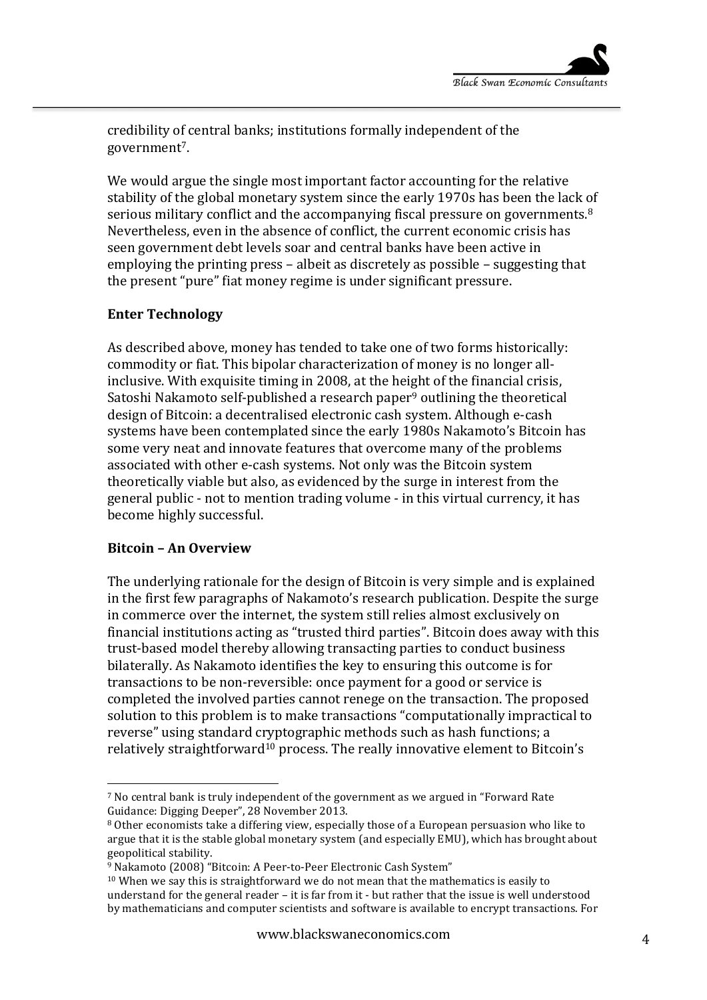credibility of central banks; institutions formally independent of the government7.

We would argue the single most important factor accounting for the relative stability of the global monetary system since the early 1970s has been the lack of serious military conflict and the accompanying fiscal pressure on governments. $8$ Nevertheless, even in the absence of conflict, the current economic crisis has seen government debt levels soar and central banks have been active in employing the printing press – albeit as discretely as possible – suggesting that the present "pure" fiat money regime is under significant pressure.

## **Enter Technology**

As described above, money has tended to take one of two forms historically: commodity or fiat. This bipolar characterization of money is no longer allinclusive. With exquisite timing in 2008, at the height of the financial crisis, Satoshi Nakamoto self-published a research paper<sup>9</sup> outlining the theoretical design of Bitcoin: a decentralised electronic cash system. Although e-cash systems have been contemplated since the early 1980s Nakamoto's Bitcoin has some very neat and innovate features that overcome many of the problems associated with other e-cash systems. Not only was the Bitcoin system theoretically viable but also, as evidenced by the surge in interest from the general public - not to mention trading volume - in this virtual currency, it has become highly successful.

#### **Bitcoin – An Overview**

 

The underlying rationale for the design of Bitcoin is very simple and is explained in the first few paragraphs of Nakamoto's research publication. Despite the surge in commerce over the internet, the system still relies almost exclusively on financial institutions acting as "trusted third parties". Bitcoin does away with this trust-based model thereby allowing transacting parties to conduct business bilaterally. As Nakamoto identifies the key to ensuring this outcome is for transactions to be non-reversible: once payment for a good or service is completed the involved parties cannot renege on the transaction. The proposed solution to this problem is to make transactions "computationally impractical to reverse" using standard cryptographic methods such as hash functions; a relatively straightforward<sup>10</sup> process. The really innovative element to Bitcoin's

<sup>&</sup>lt;sup>7</sup> No central bank is truly independent of the government as we argued in "Forward Rate" Guidance: Digging Deeper", 28 November 2013.

<sup>&</sup>lt;sup>8</sup> Other economists take a differing view, especially those of a European persuasion who like to argue that it is the stable global monetary system (and especially  $EMU$ ), which has brought about geopolitical stability.

<sup>&</sup>lt;sup>9</sup> Nakamoto (2008) "Bitcoin: A Peer-to-Peer Electronic Cash System"

 $10$  When we say this is straightforward we do not mean that the mathematics is easily to understand for the general reader – it is far from it - but rather that the issue is well understood by mathematicians and computer scientists and software is available to encrypt transactions. For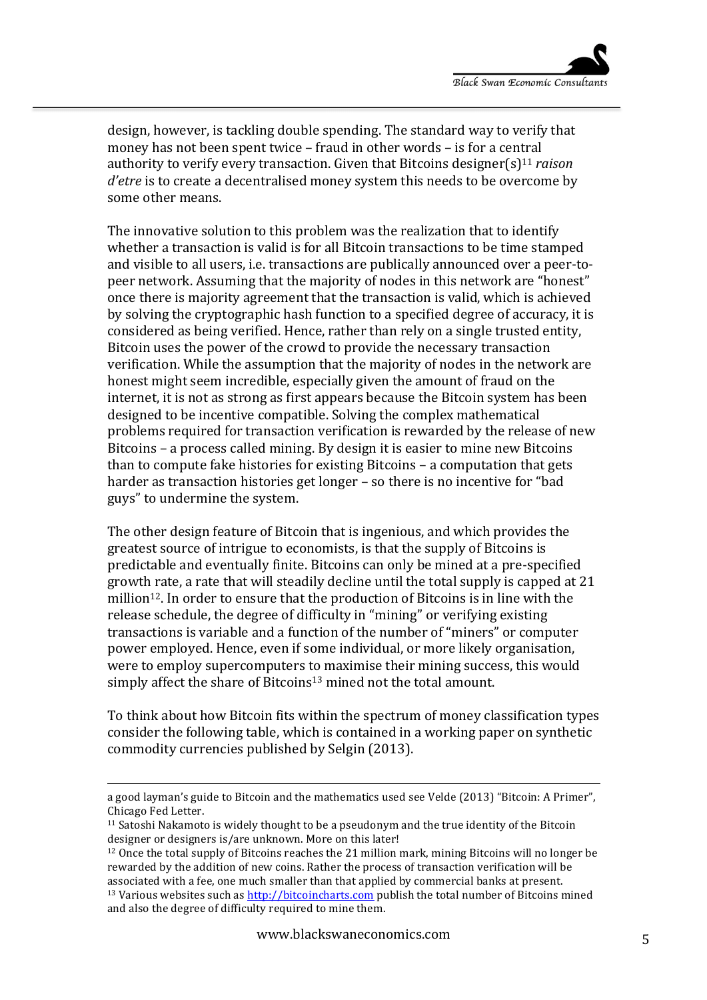design, however, is tackling double spending. The standard way to verify that money has not been spent twice  $-$  fraud in other words  $-$  is for a central authority to verify every transaction. Given that Bitcoins designer(s)<sup>11</sup> *raison d'etre* is to create a decentralised money system this needs to be overcome by some other means.

The innovative solution to this problem was the realization that to identify whether a transaction is valid is for all Bitcoin transactions to be time stamped and visible to all users, i.e. transactions are publically announced over a peer-topeer network. Assuming that the majority of nodes in this network are "honest" once there is majority agreement that the transaction is valid, which is achieved by solving the cryptographic hash function to a specified degree of accuracy, it is considered as being verified. Hence, rather than rely on a single trusted entity, Bitcoin uses the power of the crowd to provide the necessary transaction verification. While the assumption that the majority of nodes in the network are honest might seem incredible, especially given the amount of fraud on the internet, it is not as strong as first appears because the Bitcoin system has been designed to be incentive compatible. Solving the complex mathematical problems required for transaction verification is rewarded by the release of new Bitcoins – a process called mining. By design it is easier to mine new Bitcoins than to compute fake histories for existing Bitcoins  $-$  a computation that gets harder as transaction histories get longer – so there is no incentive for "bad guys" to undermine the system.

The other design feature of Bitcoin that is ingenious, and which provides the greatest source of intrigue to economists, is that the supply of Bitcoins is predictable and eventually finite. Bitcoins can only be mined at a pre-specified growth rate, a rate that will steadily decline until the total supply is capped at 21 million<sup>12</sup>. In order to ensure that the production of Bitcoins is in line with the release schedule, the degree of difficulty in "mining" or verifying existing transactions is variable and a function of the number of "miners" or computer power employed. Hence, even if some individual, or more likely organisation, were to employ supercomputers to maximise their mining success, this would simply affect the share of Bitcoins<sup>13</sup> mined not the total amount.

To think about how Bitcoin fits within the spectrum of money classification types consider the following table, which is contained in a working paper on synthetic commodity currencies published by Selgin (2013).

<sup>&</sup>lt;u> 1989 - Johann Stein, fransk politik (d. 1989)</u> a good layman's guide to Bitcoin and the mathematics used see Velde (2013) "Bitcoin: A Primer", Chicago Fed Letter. 

 $11$  Satoshi Nakamoto is widely thought to be a pseudonym and the true identity of the Bitcoin designer or designers is/are unknown. More on this later!

 $12$  Once the total supply of Bitcoins reaches the 21 million mark, mining Bitcoins will no longer be rewarded by the addition of new coins. Rather the process of transaction verification will be associated with a fee, one much smaller than that applied by commercial banks at present.  $13$  Various websites such as  $http://bitcoincharts.com$  publish the total number of Bitcoins mined and also the degree of difficulty required to mine them.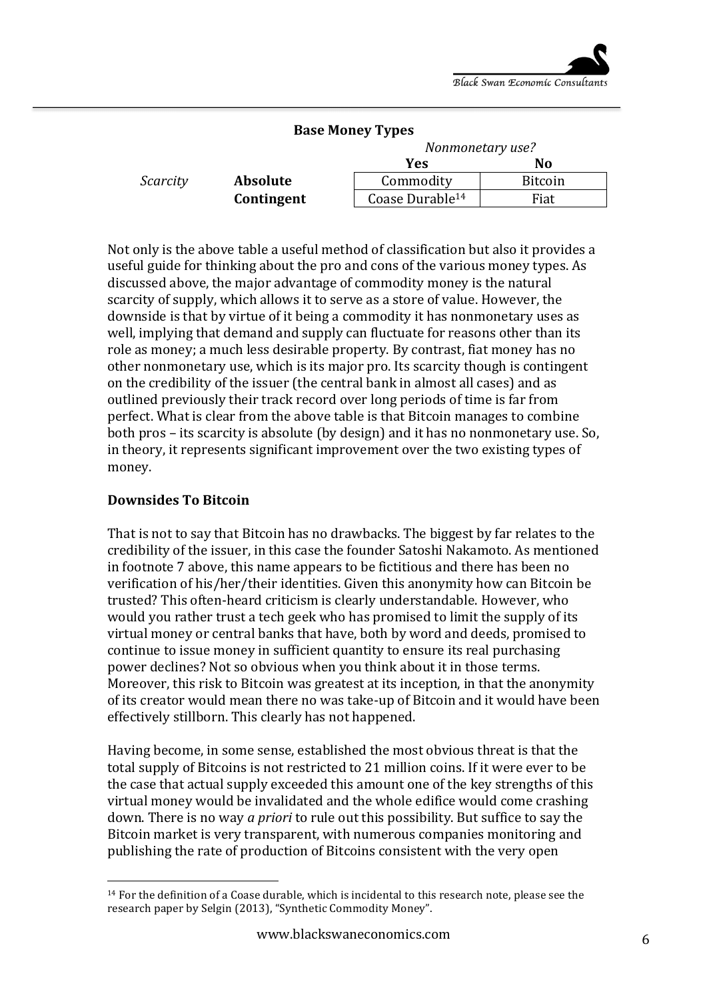| <b>Base Money Types</b> |                 |                             |                |
|-------------------------|-----------------|-----------------------------|----------------|
|                         |                 | Nonmonetary use?            |                |
|                         |                 | Yes                         | N <sub>0</sub> |
| Scarcity                | <b>Absolute</b> | Commodity                   | <b>Bitcoin</b> |
|                         | Contingent      | Coase Durable <sup>14</sup> | Fiat           |

Not only is the above table a useful method of classification but also it provides a useful guide for thinking about the pro and cons of the various money types. As discussed above, the major advantage of commodity money is the natural scarcity of supply, which allows it to serve as a store of value. However, the downside is that by virtue of it being a commodity it has nonmonetary uses as well, implying that demand and supply can fluctuate for reasons other than its role as money; a much less desirable property. By contrast, fiat money has no other nonmonetary use, which is its major pro. Its scarcity though is contingent on the credibility of the issuer (the central bank in almost all cases) and as outlined previously their track record over long periods of time is far from perfect. What is clear from the above table is that Bitcoin manages to combine both pros – its scarcity is absolute (by design) and it has no nonmonetary use. So, in theory, it represents significant improvement over the two existing types of money. 

## **Downsides To Bitcoin**

 

That is not to say that Bitcoin has no drawbacks. The biggest by far relates to the credibility of the issuer, in this case the founder Satoshi Nakamoto. As mentioned in footnote 7 above, this name appears to be fictitious and there has been no verification of his/her/their identities. Given this anonymity how can Bitcoin be trusted? This often-heard criticism is clearly understandable. However, who would you rather trust a tech geek who has promised to limit the supply of its virtual money or central banks that have, both by word and deeds, promised to continue to issue money in sufficient quantity to ensure its real purchasing power declines? Not so obvious when you think about it in those terms. Moreover, this risk to Bitcoin was greatest at its inception, in that the anonymity of its creator would mean there no was take-up of Bitcoin and it would have been effectively stillborn. This clearly has not happened.

Having become, in some sense, established the most obvious threat is that the total supply of Bitcoins is not restricted to 21 million coins. If it were ever to be the case that actual supply exceeded this amount one of the key strengths of this virtual money would be invalidated and the whole edifice would come crashing down. There is no way *a priori* to rule out this possibility. But suffice to say the Bitcoin market is very transparent, with numerous companies monitoring and publishing the rate of production of Bitcoins consistent with the very open

<sup>&</sup>lt;sup>14</sup> For the definition of a Coase durable, which is incidental to this research note, please see the research paper by Selgin (2013), "Synthetic Commodity Money".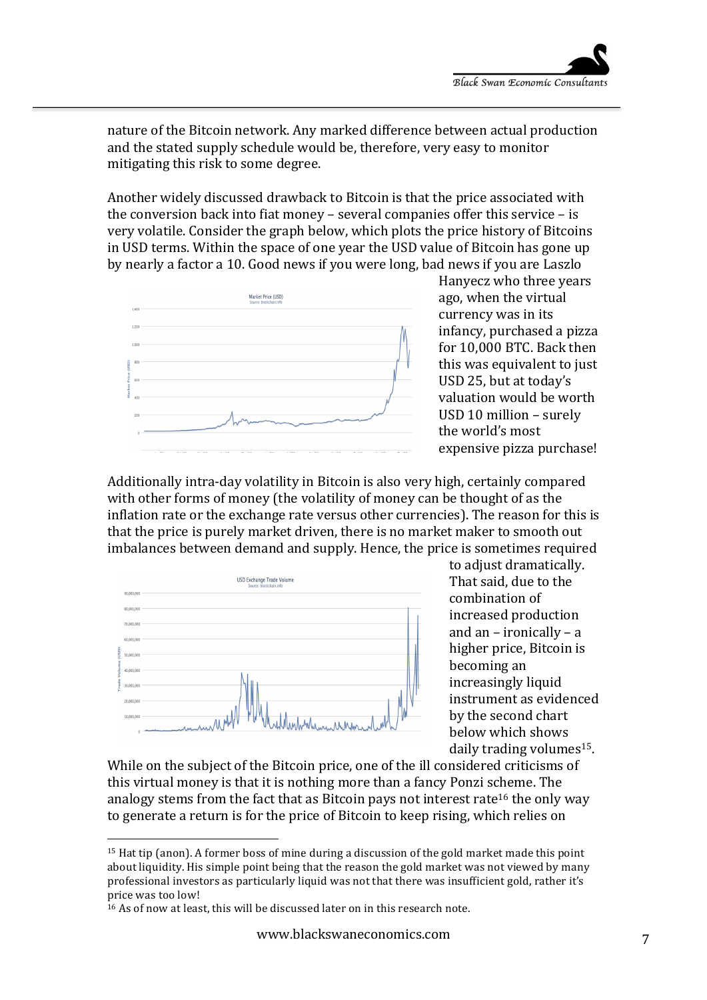nature of the Bitcoin network. Any marked difference between actual production and the stated supply schedule would be, therefore, very easy to monitor mitigating this risk to some degree.

Another widely discussed drawback to Bitcoin is that the price associated with the conversion back into fiat money – several companies offer this service – is very volatile. Consider the graph below, which plots the price history of Bitcoins in USD terms. Within the space of one year the USD value of Bitcoin has gone up by nearly a factor a 10. Good news if you were long, bad news if you are Laszlo



Hanyecz who three years ago, when the virtual currency was in its infancy, purchased a pizza for 10,000 BTC. Back then this was equivalent to just USD 25, but at today's valuation would be worth USD 10 million – surely the world's most expensive pizza purchase!

Additionally intra-day volatility in Bitcoin is also very high, certainly compared with other forms of money (the volatility of money can be thought of as the inflation rate or the exchange rate versus other currencies). The reason for this is that the price is purely market driven, there is no market maker to smooth out imbalances between demand and supply. Hence, the price is sometimes required



to adjust dramatically. That said, due to the combination of increased production and an  $-$  ironically  $-$  a higher price, Bitcoin is becoming an increasingly liquid instrument as evidenced by the second chart below which shows daily trading volumes<sup>15</sup>.

While on the subject of the Bitcoin price, one of the ill considered criticisms of this virtual money is that it is nothing more than a fancy Ponzi scheme. The analogy stems from the fact that as Bitcoin pays not interest rate<sup>16</sup> the only way to generate a return is for the price of Bitcoin to keep rising, which relies on

 

 $15$  Hat tip (anon). A former boss of mine during a discussion of the gold market made this point about liquidity. His simple point being that the reason the gold market was not viewed by many professional investors as particularly liquid was not that there was insufficient gold, rather it's price was too low!

 $16$  As of now at least, this will be discussed later on in this research note.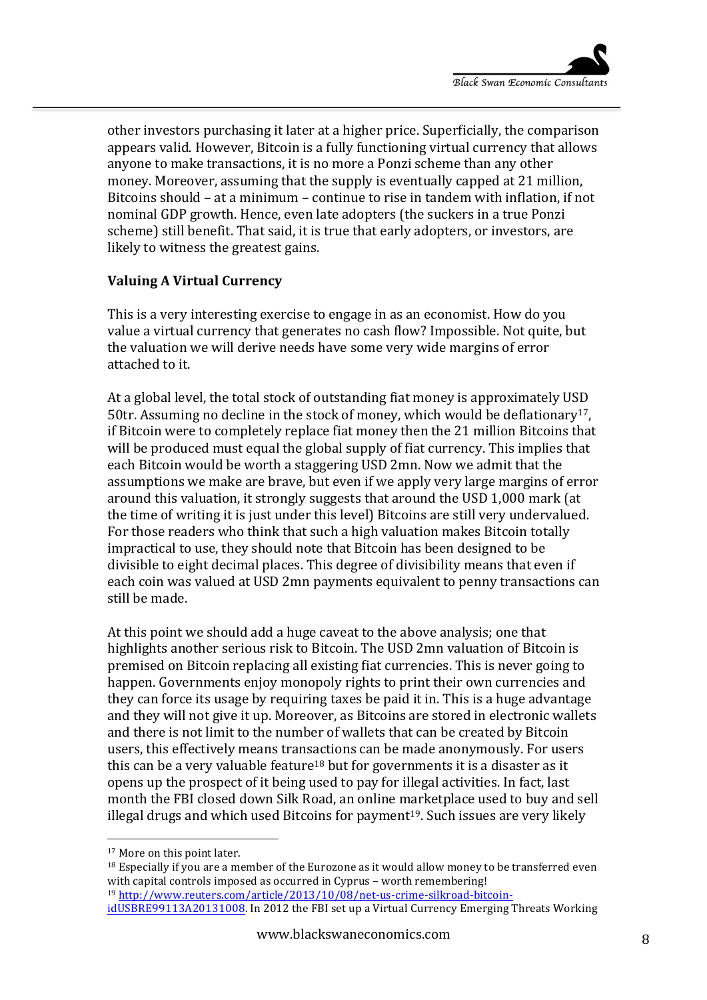other investors purchasing it later at a higher price. Superficially, the comparison appears valid. However, Bitcoin is a fully functioning virtual currency that allows anyone to make transactions, it is no more a Ponzi scheme than any other money. Moreover, assuming that the supply is eventually capped at 21 million, Bitcoins should - at a minimum - continue to rise in tandem with inflation, if not nominal GDP growth. Hence, even late adopters (the suckers in a true Ponzi scheme) still benefit. That said, it is true that early adopters, or investors, are likely to witness the greatest gains.

# **Valuing A Virtual Currency**

This is a very interesting exercise to engage in as an economist. How do you value a virtual currency that generates no cash flow? Impossible. Not quite, but the valuation we will derive needs have some very wide margins of error attached to it.

At a global level, the total stock of outstanding fiat money is approximately USD 50tr. Assuming no decline in the stock of money, which would be deflationary<sup>17</sup>, if Bitcoin were to completely replace fiat money then the 21 million Bitcoins that will be produced must equal the global supply of fiat currency. This implies that each Bitcoin would be worth a staggering USD 2mn. Now we admit that the assumptions we make are brave, but even if we apply very large margins of error around this valuation, it strongly suggests that around the USD 1,000 mark (at the time of writing it is just under this level) Bitcoins are still very undervalued. For those readers who think that such a high valuation makes Bitcoin totally impractical to use, they should note that Bitcoin has been designed to be divisible to eight decimal places. This degree of divisibility means that even if each coin was valued at USD 2mn payments equivalent to penny transactions can still be made.

At this point we should add a huge caveat to the above analysis; one that highlights another serious risk to Bitcoin. The USD 2mn valuation of Bitcoin is premised on Bitcoin replacing all existing fiat currencies. This is never going to happen. Governments enjoy monopoly rights to print their own currencies and they can force its usage by requiring taxes be paid it in. This is a huge advantage and they will not give it up. Moreover, as Bitcoins are stored in electronic wallets and there is not limit to the number of wallets that can be created by Bitcoin users, this effectively means transactions can be made anonymously. For users this can be a very valuable feature<sup>18</sup> but for governments it is a disaster as it opens up the prospect of it being used to pay for illegal activities. In fact, last month the FBI closed down Silk Road, an online marketplace used to buy and sell illegal drugs and which used Bitcoins for payment<sup>19</sup>. Such issues are very likely

 

 $18$  Especially if you are a member of the Eurozone as it would allow money to be transferred even with capital controls imposed as occurred in Cyprus - worth remembering! <sup>19</sup> http://www.reuters.com/article/2013/10/08/net-us-crime-silkroad-bitcoin-

idUSBRE99113A20131008. In 2012 the FBI set up a Virtual Currency Emerging Threats Working

<sup>&</sup>lt;sup>17</sup> More on this point later.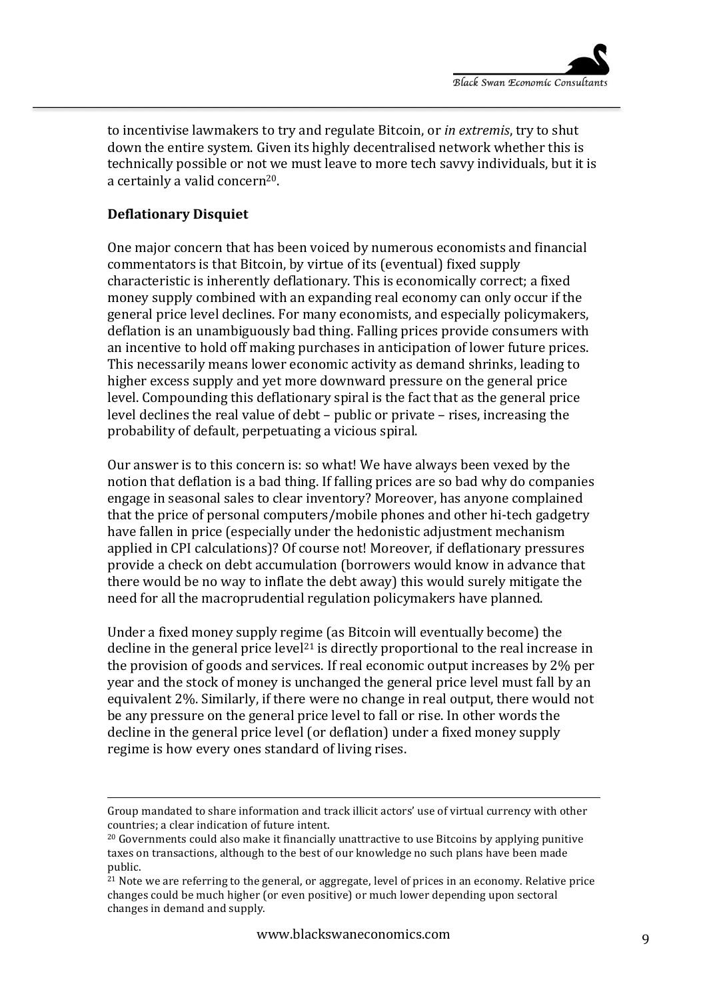to incentivise lawmakers to try and regulate Bitcoin, or *in extremis*, try to shut down the entire system. Given its highly decentralised network whether this is technically possible or not we must leave to more tech savvy individuals, but it is a certainly a valid concern<sup>20</sup>.

#### **Deflationary Disquiet**

One major concern that has been voiced by numerous economists and financial commentators is that Bitcoin, by virtue of its (eventual) fixed supply characteristic is inherently deflationary. This is economically correct; a fixed money supply combined with an expanding real economy can only occur if the general price level declines. For many economists, and especially policymakers, deflation is an unambiguously bad thing. Falling prices provide consumers with an incentive to hold off making purchases in anticipation of lower future prices. This necessarily means lower economic activity as demand shrinks, leading to higher excess supply and yet more downward pressure on the general price level. Compounding this deflationary spiral is the fact that as the general price level declines the real value of debt – public or private – rises, increasing the probability of default, perpetuating a vicious spiral.

Our answer is to this concern is: so what! We have always been vexed by the notion that deflation is a bad thing. If falling prices are so bad why do companies engage in seasonal sales to clear inventory? Moreover, has anyone complained that the price of personal computers/mobile phones and other hi-tech gadgetry have fallen in price (especially under the hedonistic adjustment mechanism applied in CPI calculations)? Of course not! Moreover, if deflationary pressures provide a check on debt accumulation (borrowers would know in advance that there would be no way to inflate the debt away) this would surely mitigate the need for all the macroprudential regulation policymakers have planned.

Under a fixed money supply regime (as Bitcoin will eventually become) the decline in the general price  $level<sup>21</sup>$  is directly proportional to the real increase in the provision of goods and services. If real economic output increases by  $2\%$  per year and the stock of money is unchanged the general price level must fall by an equivalent 2%. Similarly, if there were no change in real output, there would not be any pressure on the general price level to fall or rise. In other words the decline in the general price level (or deflation) under a fixed money supply regime is how every ones standard of living rises.

<u> 1989 - Andrea San Andrew Maria (h. 1989).</u><br>1900 - Andrew Maria (h. 1980).

Group mandated to share information and track illicit actors' use of virtual currency with other countries; a clear indication of future intent.

 $20$  Governments could also make it financially unattractive to use Bitcoins by applying punitive taxes on transactions, although to the best of our knowledge no such plans have been made public.

<sup>&</sup>lt;sup>21</sup> Note we are referring to the general, or aggregate, level of prices in an economy. Relative price changes could be much higher (or even positive) or much lower depending upon sectoral changes in demand and supply.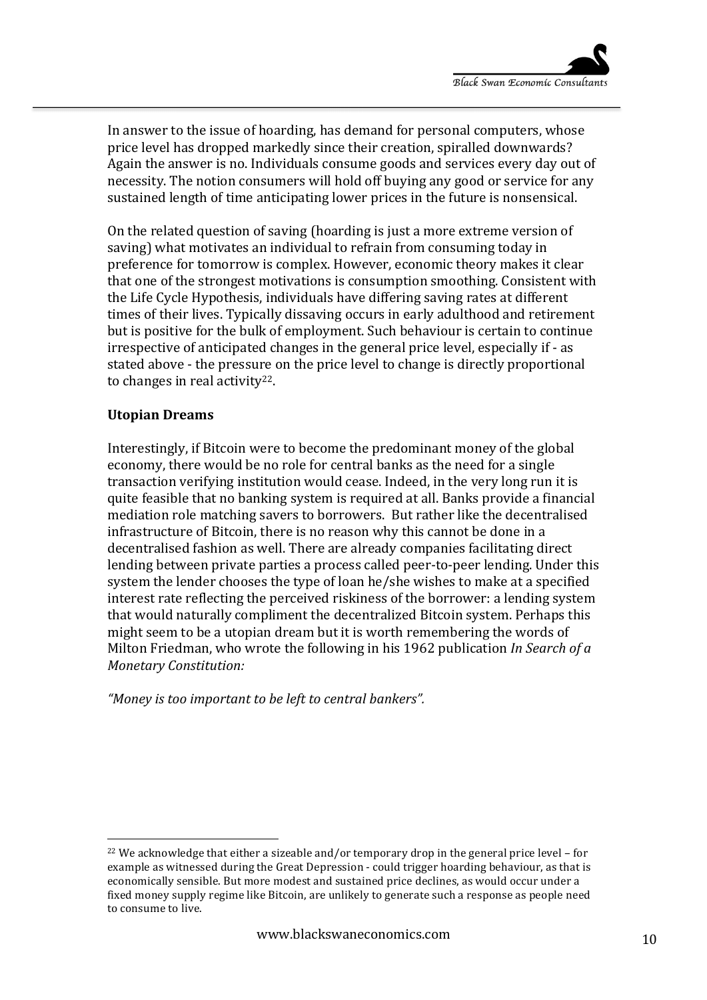In answer to the issue of hoarding, has demand for personal computers, whose price level has dropped markedly since their creation, spiralled downwards? Again the answer is no. Individuals consume goods and services every day out of necessity. The notion consumers will hold off buying any good or service for any sustained length of time anticipating lower prices in the future is nonsensical.

On the related question of saving (hoarding is just a more extreme version of saving) what motivates an individual to refrain from consuming today in preference for tomorrow is complex. However, economic theory makes it clear that one of the strongest motivations is consumption smoothing. Consistent with the Life Cycle Hypothesis, individuals have differing saving rates at different times of their lives. Typically dissaving occurs in early adulthood and retirement but is positive for the bulk of employment. Such behaviour is certain to continue irrespective of anticipated changes in the general price level, especially if - as stated above - the pressure on the price level to change is directly proportional to changes in real activity<sup>22</sup>.

#### **Utopian Dreams**

Interestingly, if Bitcoin were to become the predominant money of the global economy, there would be no role for central banks as the need for a single transaction verifying institution would cease. Indeed, in the very long run it is quite feasible that no banking system is required at all. Banks provide a financial mediation role matching savers to borrowers. But rather like the decentralised infrastructure of Bitcoin, there is no reason why this cannot be done in a decentralised fashion as well. There are already companies facilitating direct lending between private parties a process called peer-to-peer lending. Under this system the lender chooses the type of loan he/she wishes to make at a specified interest rate reflecting the perceived riskiness of the borrower: a lending system that would naturally compliment the decentralized Bitcoin system. Perhaps this might seem to be a utopian dream but it is worth remembering the words of Milton Friedman, who wrote the following in his 1962 publication *In Search of a Monetary Constitution:*

"Money is too important to be left to central bankers".

 

 $22$  We acknowledge that either a sizeable and/or temporary drop in the general price level – for example as witnessed during the Great Depression - could trigger hoarding behaviour, as that is economically sensible. But more modest and sustained price declines, as would occur under a fixed money supply regime like Bitcoin, are unlikely to generate such a response as people need to consume to live.